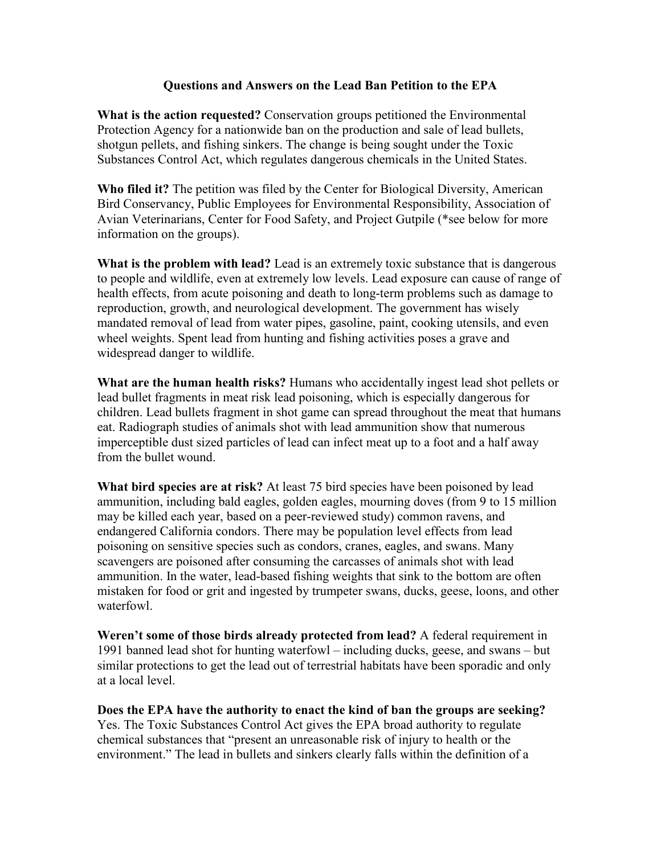#### **Questions and Answers on the Lead Ban Petition to the EPA**

**What is the action requested?** Conservation groups petitioned the Environmental Protection Agency for a nationwide ban on the production and sale of lead bullets, shotgun pellets, and fishing sinkers. The change is being sought under the Toxic Substances Control Act, which regulates dangerous chemicals in the United States.

**Who filed it?** The petition was filed by the Center for Biological Diversity, American Bird Conservancy, Public Employees for Environmental Responsibility, Association of Avian Veterinarians, Center for Food Safety, and Project Gutpile (\*see below for more information on the groups).

**What is the problem with lead?** Lead is an extremely toxic substance that is dangerous to people and wildlife, even at extremely low levels. Lead exposure can cause of range of health effects, from acute poisoning and death to long-term problems such as damage to reproduction, growth, and neurological development. The government has wisely mandated removal of lead from water pipes, gasoline, paint, cooking utensils, and even wheel weights. Spent lead from hunting and fishing activities poses a grave and widespread danger to wildlife.

**What are the human health risks?** Humans who accidentally ingest lead shot pellets or lead bullet fragments in meat risk lead poisoning, which is especially dangerous for children. Lead bullets fragment in shot game can spread throughout the meat that humans eat. Radiograph studies of animals shot with lead ammunition show that numerous imperceptible dust sized particles of lead can infect meat up to a foot and a half away from the bullet wound.

**What bird species are at risk?** At least 75 bird species have been poisoned by lead ammunition, including bald eagles, golden eagles, mourning doves (from 9 to 15 million may be killed each year, based on a peer-reviewed study) common ravens, and endangered California condors. There may be population level effects from lead poisoning on sensitive species such as condors, cranes, eagles, and swans. Many scavengers are poisoned after consuming the carcasses of animals shot with lead ammunition. In the water, lead-based fishing weights that sink to the bottom are often mistaken for food or grit and ingested by trumpeter swans, ducks, geese, loons, and other waterfowl.

**Weren't some of those birds already protected from lead?** A federal requirement in 1991 banned lead shot for hunting waterfowl – including ducks, geese, and swans – but similar protections to get the lead out of terrestrial habitats have been sporadic and only at a local level.

**Does the EPA have the authority to enact the kind of ban the groups are seeking?** Yes. The Toxic Substances Control Act gives the EPA broad authority to regulate chemical substances that "present an unreasonable risk of injury to health or the environment." The lead in bullets and sinkers clearly falls within the definition of a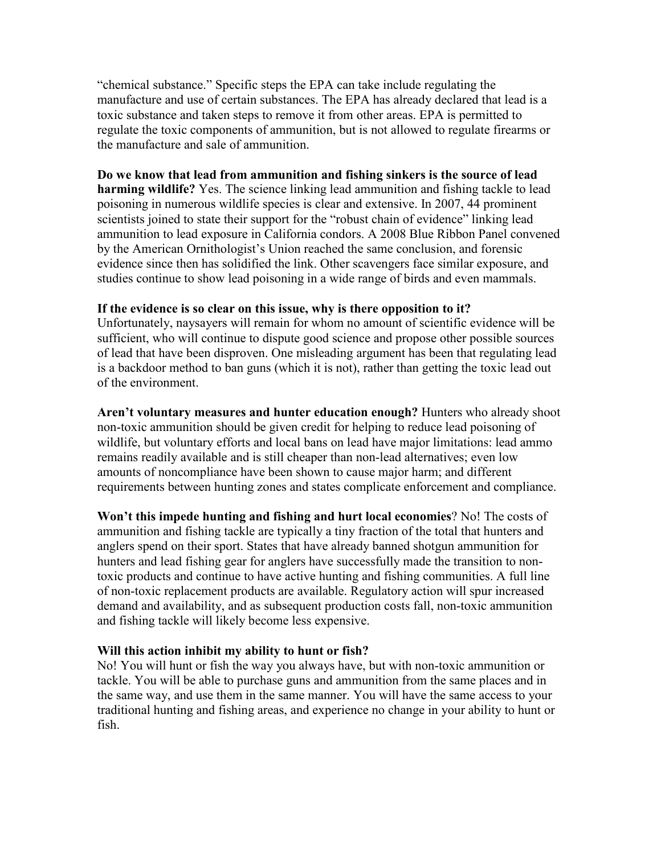"chemical substance." Specific steps the EPA can take include regulating the manufacture and use of certain substances. The EPA has already declared that lead is a toxic substance and taken steps to remove it from other areas. EPA is permitted to regulate the toxic components of ammunition, but is not allowed to regulate firearms or the manufacture and sale of ammunition.

### **Do we know that lead from ammunition and fishing sinkers is the source of lead**

**harming wildlife?** Yes. The science linking lead ammunition and fishing tackle to lead poisoning in numerous wildlife species is clear and extensive. In 2007, 44 prominent scientists joined to state their support for the "robust chain of evidence" linking lead ammunition to lead exposure in California condors. A 2008 Blue Ribbon Panel convened by the American Ornithologist's Union reached the same conclusion, and forensic evidence since then has solidified the link. Other scavengers face similar exposure, and studies continue to show lead poisoning in a wide range of birds and even mammals.

### **If the evidence is so clear on this issue, why is there opposition to it?**

Unfortunately, naysayers will remain for whom no amount of scientific evidence will be sufficient, who will continue to dispute good science and propose other possible sources of lead that have been disproven. One misleading argument has been that regulating lead is a backdoor method to ban guns (which it is not), rather than getting the toxic lead out of the environment.

**Aren't voluntary measures and hunter education enough?** Hunters who already shoot non-toxic ammunition should be given credit for helping to reduce lead poisoning of wildlife, but voluntary efforts and local bans on lead have major limitations: lead ammo remains readily available and is still cheaper than non-lead alternatives; even low amounts of noncompliance have been shown to cause major harm; and different requirements between hunting zones and states complicate enforcement and compliance.

**Won't this impede hunting and fishing and hurt local economies**? No! The costs of ammunition and fishing tackle are typically a tiny fraction of the total that hunters and anglers spend on their sport. States that have already banned shotgun ammunition for hunters and lead fishing gear for anglers have successfully made the transition to nontoxic products and continue to have active hunting and fishing communities. A full line of non-toxic replacement products are available. Regulatory action will spur increased demand and availability, and as subsequent production costs fall, non-toxic ammunition and fishing tackle will likely become less expensive.

# **Will this action inhibit my ability to hunt or fish?**

No! You will hunt or fish the way you always have, but with non-toxic ammunition or tackle. You will be able to purchase guns and ammunition from the same places and in the same way, and use them in the same manner. You will have the same access to your traditional hunting and fishing areas, and experience no change in your ability to hunt or fish.